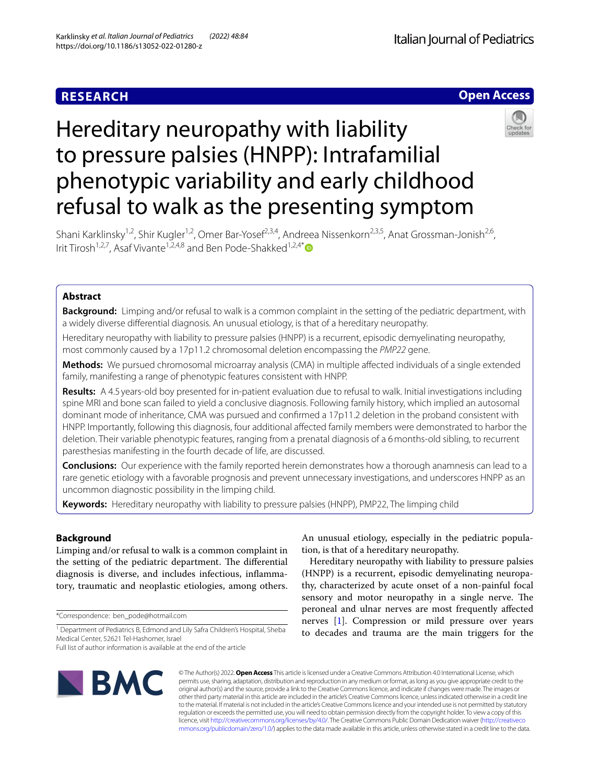# **RESEARCH**

# **Open Access**



# Hereditary neuropathy with liability to pressure palsies (HNPP): Intrafamilial phenotypic variability and early childhood refusal to walk as the presenting symptom

Shani Karklinsky<sup>1,2</sup>, Shir Kugler<sup>1,2</sup>, Omer Bar-Yosef<sup>2,3,4</sup>, Andreea Nissenkorn<sup>2,3,5</sup>, Anat Grossman-Jonish<sup>2,6</sup>, Irit Tirosh<sup>1,2,7</sup>, Asaf Vivante<sup>1,2,4,8</sup> and Ben Pode-Shakked<sup>1,2,4\*</sup>

# **Abstract**

**Background:** Limping and/or refusal to walk is a common complaint in the setting of the pediatric department, with a widely diverse diferential diagnosis. An unusual etiology, is that of a hereditary neuropathy.

Hereditary neuropathy with liability to pressure palsies (HNPP) is a recurrent, episodic demyelinating neuropathy, most commonly caused by a 17p11.2 chromosomal deletion encompassing the *PMP22* gene.

**Methods:** We pursued chromosomal microarray analysis (CMA) in multiple afected individuals of a single extended family, manifesting a range of phenotypic features consistent with HNPP.

**Results:** A 4.5 years-old boy presented for in-patient evaluation due to refusal to walk. Initial investigations including spine MRI and bone scan failed to yield a conclusive diagnosis. Following family history, which implied an autosomal dominant mode of inheritance, CMA was pursued and confrmed a 17p11.2 deletion in the proband consistent with HNPP. Importantly, following this diagnosis, four additional afected family members were demonstrated to harbor the deletion. Their variable phenotypic features, ranging from a prenatal diagnosis of a 6months-old sibling, to recurrent paresthesias manifesting in the fourth decade of life, are discussed.

**Conclusions:** Our experience with the family reported herein demonstrates how a thorough anamnesis can lead to a rare genetic etiology with a favorable prognosis and prevent unnecessary investigations, and underscores HNPP as an uncommon diagnostic possibility in the limping child.

**Keywords:** Hereditary neuropathy with liability to pressure palsies (HNPP), PMP22, The limping child

# **Background**

Limping and/or refusal to walk is a common complaint in the setting of the pediatric department. The differential diagnosis is diverse, and includes infectious, infammatory, traumatic and neoplastic etiologies, among others.

\*Correspondence: ben\_pode@hotmail.com

An unusual etiology, especially in the pediatric population, is that of a hereditary neuropathy.

Hereditary neuropathy with liability to pressure palsies (HNPP) is a recurrent, episodic demyelinating neuropathy, characterized by acute onset of a non-painful focal sensory and motor neuropathy in a single nerve. The peroneal and ulnar nerves are most frequently afected nerves [\[1](#page-3-0)]. Compression or mild pressure over years to decades and trauma are the main triggers for the



© The Author(s) 2022. **Open Access** This article is licensed under a Creative Commons Attribution 4.0 International License, which permits use, sharing, adaptation, distribution and reproduction in any medium or format, as long as you give appropriate credit to the original author(s) and the source, provide a link to the Creative Commons licence, and indicate if changes were made. The images or other third party material in this article are included in the article's Creative Commons licence, unless indicated otherwise in a credit line to the material. If material is not included in the article's Creative Commons licence and your intended use is not permitted by statutory regulation or exceeds the permitted use, you will need to obtain permission directly from the copyright holder. To view a copy of this licence, visit [http://creativecommons.org/licenses/by/4.0/.](http://creativecommons.org/licenses/by/4.0/) The Creative Commons Public Domain Dedication waiver ([http://creativeco](http://creativecommons.org/publicdomain/zero/1.0/) [mmons.org/publicdomain/zero/1.0/](http://creativecommons.org/publicdomain/zero/1.0/)) applies to the data made available in this article, unless otherwise stated in a credit line to the data.

<sup>&</sup>lt;sup>1</sup> Department of Pediatrics B, Edmond and Lily Safra Children's Hospital, Sheba Medical Center, 52621 Tel-Hashomer, Israel

Full list of author information is available at the end of the article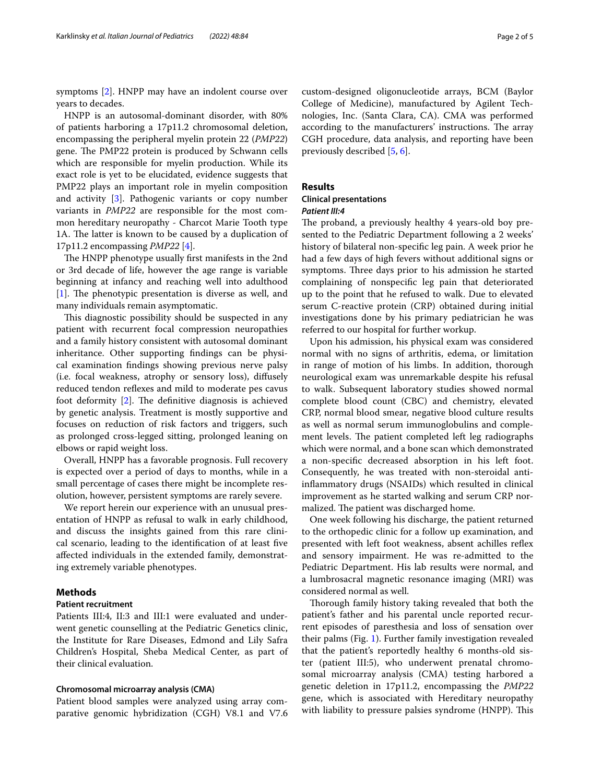symptoms [[2](#page-4-0)]. HNPP may have an indolent course over years to decades.

HNPP is an autosomal-dominant disorder, with 80% of patients harboring a 17p11.2 chromosomal deletion, encompassing the peripheral myelin protein 22 (*PMP22*) gene. The PMP22 protein is produced by Schwann cells which are responsible for myelin production. While its exact role is yet to be elucidated, evidence suggests that PMP22 plays an important role in myelin composition and activity [\[3](#page-4-1)]. Pathogenic variants or copy number variants in *PMP22* are responsible for the most common hereditary neuropathy - Charcot Marie Tooth type 1A. The latter is known to be caused by a duplication of 17p11.2 encompassing *PMP22* [[4\]](#page-4-2).

The HNPP phenotype usually first manifests in the 2nd or 3rd decade of life, however the age range is variable beginning at infancy and reaching well into adulthood  $[1]$  $[1]$ . The phenotypic presentation is diverse as well, and many individuals remain asymptomatic.

This diagnostic possibility should be suspected in any patient with recurrent focal compression neuropathies and a family history consistent with autosomal dominant inheritance. Other supporting fndings can be physical examination fndings showing previous nerve palsy (i.e. focal weakness, atrophy or sensory loss), difusely reduced tendon reflexes and mild to moderate pes cavus foot deformity  $[2]$ . The definitive diagnosis is achieved by genetic analysis. Treatment is mostly supportive and focuses on reduction of risk factors and triggers, such as prolonged cross-legged sitting, prolonged leaning on elbows or rapid weight loss.

Overall, HNPP has a favorable prognosis. Full recovery is expected over a period of days to months, while in a small percentage of cases there might be incomplete resolution, however, persistent symptoms are rarely severe.

We report herein our experience with an unusual presentation of HNPP as refusal to walk in early childhood, and discuss the insights gained from this rare clinical scenario, leading to the identifcation of at least fve afected individuals in the extended family, demonstrating extremely variable phenotypes.

# **Methods**

# **Patient recruitment**

Patients III:4, II:3 and III:1 were evaluated and underwent genetic counselling at the Pediatric Genetics clinic, the Institute for Rare Diseases, Edmond and Lily Safra Children's Hospital, Sheba Medical Center, as part of their clinical evaluation.

# **Chromosomal microarray analysis (CMA)**

Patient blood samples were analyzed using array comparative genomic hybridization (CGH) V8.1 and V7.6 custom-designed oligonucleotide arrays, BCM (Baylor College of Medicine), manufactured by Agilent Technologies, Inc. (Santa Clara, CA). CMA was performed according to the manufacturers' instructions. The array CGH procedure, data analysis, and reporting have been previously described [\[5](#page-4-3), [6\]](#page-4-4).

# **Results**

# **Clinical presentations** *Patient III:4*

The proband, a previously healthy 4 years-old boy presented to the Pediatric Department following a 2 weeks' history of bilateral non-specifc leg pain. A week prior he had a few days of high fevers without additional signs or symptoms. Three days prior to his admission he started complaining of nonspecifc leg pain that deteriorated up to the point that he refused to walk. Due to elevated serum C-reactive protein (CRP) obtained during initial investigations done by his primary pediatrician he was referred to our hospital for further workup.

Upon his admission, his physical exam was considered normal with no signs of arthritis, edema, or limitation in range of motion of his limbs. In addition, thorough neurological exam was unremarkable despite his refusal to walk. Subsequent laboratory studies showed normal complete blood count (CBC) and chemistry, elevated CRP, normal blood smear, negative blood culture results as well as normal serum immunoglobulins and complement levels. The patient completed left leg radiographs which were normal, and a bone scan which demonstrated a non-specifc decreased absorption in his left foot. Consequently, he was treated with non-steroidal antiinfammatory drugs (NSAIDs) which resulted in clinical improvement as he started walking and serum CRP normalized. The patient was discharged home.

One week following his discharge, the patient returned to the orthopedic clinic for a follow up examination, and presented with left foot weakness, absent achilles refex and sensory impairment. He was re-admitted to the Pediatric Department. His lab results were normal, and a lumbrosacral magnetic resonance imaging (MRI) was considered normal as well.

Thorough family history taking revealed that both the patient's father and his parental uncle reported recurrent episodes of paresthesia and loss of sensation over their palms (Fig. [1\)](#page-2-0). Further family investigation revealed that the patient's reportedly healthy 6 months-old sister (patient III:5), who underwent prenatal chromosomal microarray analysis (CMA) testing harbored a genetic deletion in 17p11.2, encompassing the *PMP22* gene, which is associated with Hereditary neuropathy with liability to pressure palsies syndrome (HNPP). This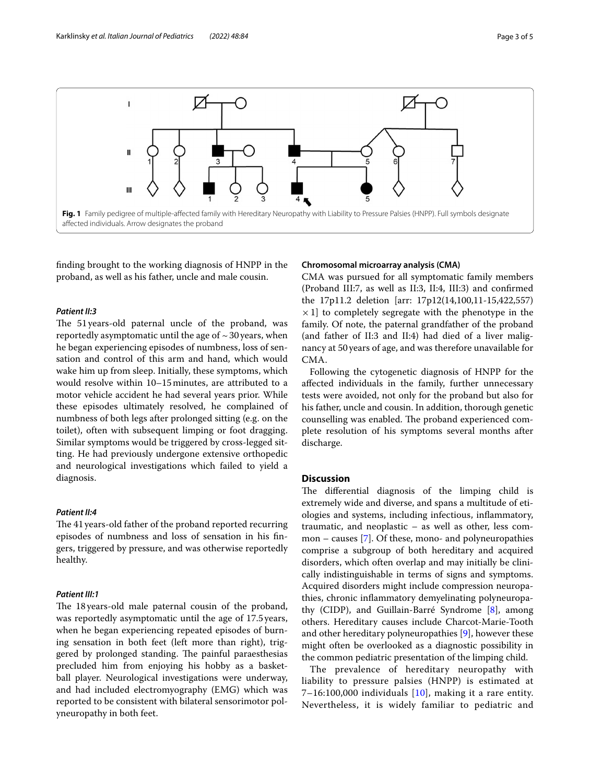

<span id="page-2-0"></span>fnding brought to the working diagnosis of HNPP in the proband, as well as his father, uncle and male cousin.

# *Patient II:3*

The 51 years-old paternal uncle of the proband, was reportedly asymptomatic until the age of  $\sim$  30 years, when he began experiencing episodes of numbness, loss of sensation and control of this arm and hand, which would wake him up from sleep. Initially, these symptoms, which would resolve within 10–15minutes, are attributed to a motor vehicle accident he had several years prior. While these episodes ultimately resolved, he complained of numbness of both legs after prolonged sitting (e.g. on the toilet), often with subsequent limping or foot dragging. Similar symptoms would be triggered by cross-legged sitting. He had previously undergone extensive orthopedic and neurological investigations which failed to yield a diagnosis.

# *Patient II:4*

The 41 years-old father of the proband reported recurring episodes of numbness and loss of sensation in his fngers, triggered by pressure, and was otherwise reportedly healthy.

## *Patient III:1*

The 18 years-old male paternal cousin of the proband, was reportedly asymptomatic until the age of 17.5years, when he began experiencing repeated episodes of burning sensation in both feet (left more than right), triggered by prolonged standing. The painful paraesthesias precluded him from enjoying his hobby as a basketball player. Neurological investigations were underway, and had included electromyography (EMG) which was reported to be consistent with bilateral sensorimotor polyneuropathy in both feet.

# **Chromosomal microarray analysis (CMA)**

CMA was pursued for all symptomatic family members (Proband III:7, as well as II:3, II:4, III:3) and confrmed the 17p11.2 deletion [arr: 17p12(14,100,11-15,422,557)  $\times$  1] to completely segregate with the phenotype in the family. Of note, the paternal grandfather of the proband (and father of II:3 and II:4) had died of a liver malignancy at 50 years of age, and was therefore unavailable for CMA.

Following the cytogenetic diagnosis of HNPP for the afected individuals in the family, further unnecessary tests were avoided, not only for the proband but also for his father, uncle and cousin. In addition, thorough genetic counselling was enabled. The proband experienced complete resolution of his symptoms several months after discharge.

# **Discussion**

The differential diagnosis of the limping child is extremely wide and diverse, and spans a multitude of etiologies and systems, including infectious, infammatory, traumatic, and neoplastic – as well as other, less common – causes [\[7\]](#page-4-5). Of these, mono- and polyneuropathies comprise a subgroup of both hereditary and acquired disorders, which often overlap and may initially be clinically indistinguishable in terms of signs and symptoms. Acquired disorders might include compression neuropathies, chronic infammatory demyelinating polyneuropathy (CIDP), and Guillain-Barré Syndrome [[8\]](#page-4-6), among others. Hereditary causes include Charcot-Marie-Tooth and other hereditary polyneuropathies [\[9](#page-4-7)], however these might often be overlooked as a diagnostic possibility in the common pediatric presentation of the limping child.

The prevalence of hereditary neuropathy with liability to pressure palsies (HNPP) is estimated at 7–16:[10](#page-4-8)0,000 individuals  $[10]$ , making it a rare entity. Nevertheless, it is widely familiar to pediatric and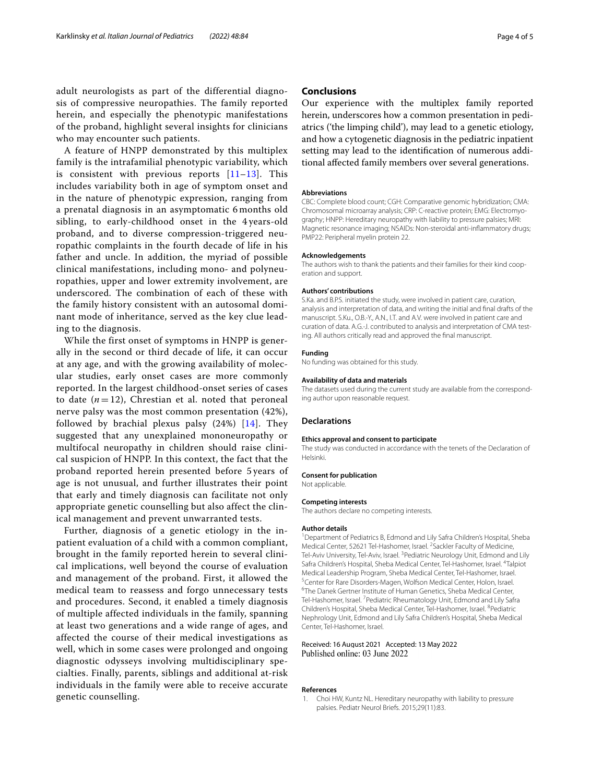A feature of HNPP demonstrated by this multiplex family is the intrafamilial phenotypic variability, which is consistent with previous reports [\[11–](#page-4-9)[13\]](#page-4-10). This includes variability both in age of symptom onset and in the nature of phenotypic expression, ranging from a prenatal diagnosis in an asymptomatic 6 months old sibling, to early-childhood onset in the 4 years-old proband, and to diverse compression-triggered neuropathic complaints in the fourth decade of life in his father and uncle. In addition, the myriad of possible clinical manifestations, including mono- and polyneuropathies, upper and lower extremity involvement, are underscored. The combination of each of these with the family history consistent with an autosomal dominant mode of inheritance, served as the key clue leading to the diagnosis.

While the first onset of symptoms in HNPP is generally in the second or third decade of life, it can occur at any age, and with the growing availability of molecular studies, early onset cases are more commonly reported. In the largest childhood-onset series of cases to date  $(n=12)$ , Chrestian et al. noted that peroneal nerve palsy was the most common presentation (42%), followed by brachial plexus palsy (24%) [\[14\]](#page-4-11). They suggested that any unexplained mononeuropathy or multifocal neuropathy in children should raise clinical suspicion of HNPP. In this context, the fact that the proband reported herein presented before 5 years of age is not unusual, and further illustrates their point that early and timely diagnosis can facilitate not only appropriate genetic counselling but also affect the clinical management and prevent unwarranted tests.

Further, diagnosis of a genetic etiology in the inpatient evaluation of a child with a common compliant, brought in the family reported herein to several clinical implications, well beyond the course of evaluation and management of the proband. First, it allowed the medical team to reassess and forgo unnecessary tests and procedures. Second, it enabled a timely diagnosis of multiple affected individuals in the family, spanning at least two generations and a wide range of ages, and affected the course of their medical investigations as well, which in some cases were prolonged and ongoing diagnostic odysseys involving multidisciplinary specialties. Finally, parents, siblings and additional at-risk individuals in the family were able to receive accurate genetic counselling.

# **Conclusions**

Our experience with the multiplex family reported herein, underscores how a common presentation in pediatrics ('the limping child'), may lead to a genetic etiology, and how a cytogenetic diagnosis in the pediatric inpatient setting may lead to the identifcation of numerous additional afected family members over several generations.

#### **Abbreviations**

CBC: Complete blood count; CGH: Comparative genomic hybridization; CMA: Chromosomal microarray analysis; CRP: C-reactive protein; EMG: Electromyography; HNPP: Hereditary neuropathy with liability to pressure palsies; MRI: Magnetic resonance imaging; NSAIDs: Non-steroidal anti-infammatory drugs; PMP22: Peripheral myelin protein 22.

#### **Acknowledgements**

The authors wish to thank the patients and their families for their kind cooperation and support.

#### **Authors' contributions**

S.Ka. and B.P.S. initiated the study, were involved in patient care, curation, analysis and interpretation of data, and writing the initial and fnal drafts of the manuscript. S.Ku., O.B.-Y., A.N., I.T. and A.V. were involved in patient care and curation of data. A.G.-J. contributed to analysis and interpretation of CMA testing. All authors critically read and approved the fnal manuscript.

## **Funding**

No funding was obtained for this study.

# **Availability of data and materials**

The datasets used during the current study are available from the corresponding author upon reasonable request.

#### **Declarations**

#### **Ethics approval and consent to participate**

The study was conducted in accordance with the tenets of the Declaration of Helsinki.

#### **Consent for publication**

#### Not applicable.

#### **Competing interests**

The authors declare no competing interests.

#### **Author details**

<sup>1</sup> Department of Pediatrics B, Edmond and Lily Safra Children's Hospital, Sheba Medical Center, 52621 Tel-Hashomer, Israel. <sup>2</sup> Sackler Faculty of Medicine, Tel-Aviv University, Tel-Aviv, Israel. <sup>3</sup> Pediatric Neurology Unit, Edmond and Lily Safra Children's Hospital, Sheba Medical Center, Tel-Hashomer, Israel. <sup>4</sup>Talpiot Medical Leadership Program, Sheba Medical Center, Tel‑Hashomer, Israel. <sup>5</sup> Center for Rare Disorders-Magen, Wolfson Medical Center, Holon, Israel.<br><sup>6</sup>The Danek Gertner Institute of Human Genetics, Sheba Medical Center. <sup>6</sup>The Danek Gertner Institute of Human Genetics, Sheba Medical Center, Tel-Hashomer, Israel. <sup>7</sup> Pediatric Rheumatology Unit, Edmond and Lily Safra Children's Hospital, Sheba Medical Center, Tel-Hashomer, Israel. <sup>8</sup>Pediatric Nephrology Unit, Edmond and Lily Safra Children's Hospital, Sheba Medical Center, Tel‑Hashomer, Israel.

## Received: 16 August 2021 Accepted: 13 May 2022 Published online: 03 June 2022

#### **References**

<span id="page-3-0"></span>1. Choi HW, Kuntz NL. Hereditary neuropathy with liability to pressure palsies. Pediatr Neurol Briefs. 2015;29(11):83.